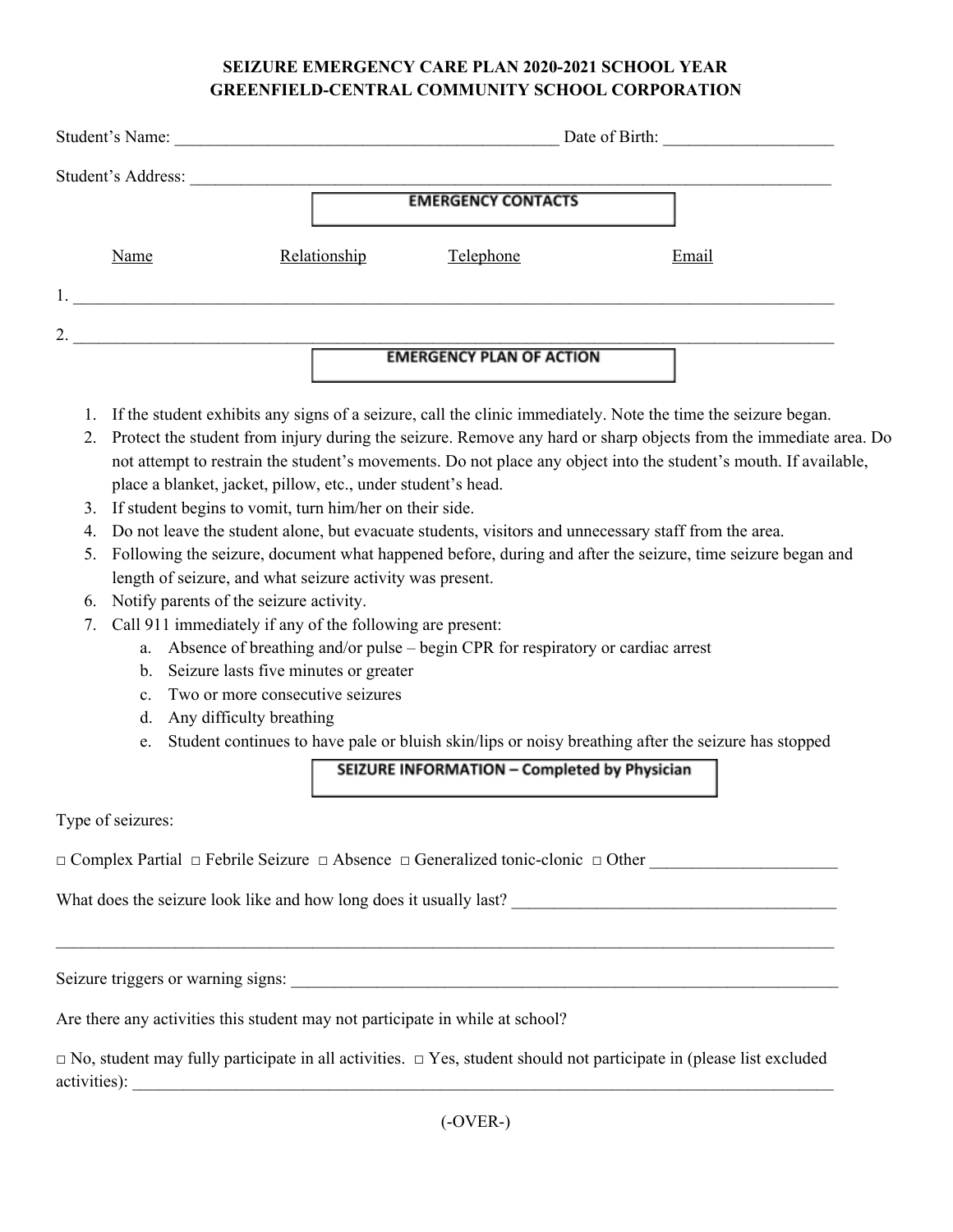## **SEIZURE EMERGENCY CARE PLAN 2020-2021 SCHOOL YEAR GREENFIELD-CENTRAL COMMUNITY SCHOOL CORPORATION**

| Student's Name:    |              | Date of Birth:                  |       |
|--------------------|--------------|---------------------------------|-------|
| Student's Address: |              | <b>EMERGENCY CONTACTS</b>       |       |
| Name               | Relationship | Telephone                       | Email |
| 1.                 |              |                                 |       |
| 2.                 |              | <b>EMERGENCY PLAN OF ACTION</b> |       |

- 1. If the student exhibits any signs of a seizure, call the clinic immediately. Note the time the seizure began.
- 2. Protect the student from injury during the seizure. Remove any hard or sharp objects from the immediate area. Do not attempt to restrain the student's movements. Do not place any object into the student's mouth. If available, place a blanket, jacket, pillow, etc., under student's head.
- 3. If student begins to vomit, turn him/her on their side.
- 4. Do not leave the student alone, but evacuate students, visitors and unnecessary staff from the area.
- 5. Following the seizure, document what happened before, during and after the seizure, time seizure began and length of seizure, and what seizure activity was present.
- 6. Notify parents of the seizure activity.
- 7. Call 911 immediately if any of the following are present:
	- a. Absence of breathing and/or pulse begin CPR for respiratory or cardiac arrest
	- b. Seizure lasts five minutes or greater
	- c. Two or more consecutive seizures
	- d. Any difficulty breathing
	- e. Student continues to have pale or bluish skin/lips or noisy breathing after the seizure has stopped

SEIZURE INFORMATION - Completed by Physician

\_\_\_\_\_\_\_\_\_\_\_\_\_\_\_\_\_\_\_\_\_\_\_\_\_\_\_\_\_\_\_\_\_\_\_\_\_\_\_\_\_\_\_\_\_\_\_\_\_\_\_\_\_\_\_\_\_\_\_\_\_\_\_\_\_\_\_\_\_\_\_\_\_\_\_\_\_\_\_\_\_\_\_\_\_\_\_\_\_\_\_

Type of seizures:

□ Complex Partial □ Febrile Seizure □ Absence □ Generalized tonic-clonic □ Other

What does the seizure look like and how long does it usually last?

Seizure triggers or warning signs:

Are there any activities this student may not participate in while at school?

 $\Box$  No, student may fully participate in all activities.  $\Box$  Yes, student should not participate in (please list excluded activities):